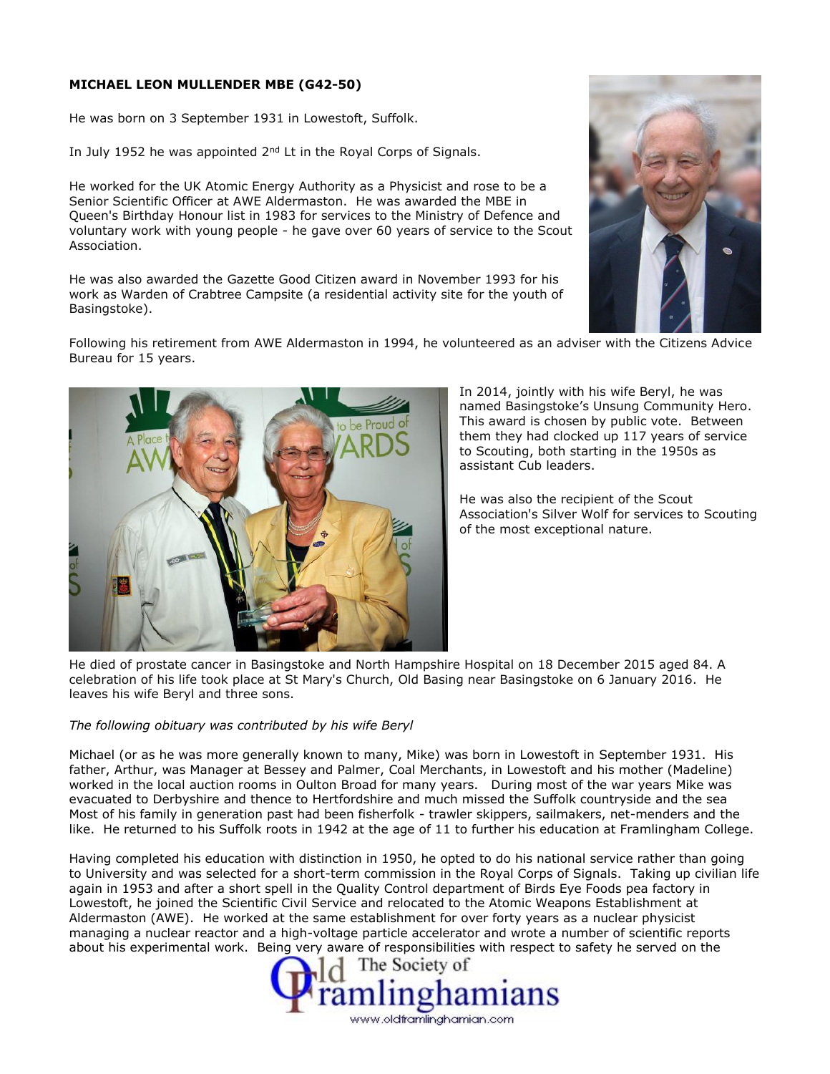## **MICHAEL LEON MULLENDER MBE (G42-50)**

He was born on 3 September 1931 in Lowestoft, Suffolk.

In July 1952 he was appointed 2<sup>nd</sup> Lt in the Royal Corps of Signals.

He worked for the UK Atomic Energy Authority as a Physicist and rose to be a Senior Scientific Officer at AWE Aldermaston. He was awarded the MBE in Queen's Birthday Honour list in 1983 for services to the Ministry of Defence and voluntary work with young people - he gave over 60 years of service to the Scout Association.

He was also awarded the Gazette Good Citizen award in November 1993 for his work as Warden of Crabtree Campsite (a residential activity site for the youth of Basingstoke).



Following his retirement from AWE Aldermaston in 1994, he volunteered as an adviser with the Citizens Advice Bureau for 15 years.



In 2014, jointly with his wife Beryl, he was named Basingstoke's Unsung Community Hero. This award is chosen by public vote. Between them they had clocked up 117 years of service to Scouting, both starting in the 1950s as assistant Cub leaders.

He was also the recipient of the Scout Association's Silver Wolf for services to Scouting of the most exceptional nature.

He died of prostate cancer in Basingstoke and North Hampshire Hospital on 18 December 2015 aged 84. A celebration of his life took place at St Mary's Church, Old Basing near Basingstoke on 6 January 2016. He leaves his wife Beryl and three sons.

## *The following obituary was contributed by his wife Beryl*

Michael (or as he was more generally known to many, Mike) was born in Lowestoft in September 1931. His father, Arthur, was Manager at Bessey and Palmer, Coal Merchants, in Lowestoft and his mother (Madeline) worked in the local auction rooms in Oulton Broad for many years. During most of the war years Mike was evacuated to Derbyshire and thence to Hertfordshire and much missed the Suffolk countryside and the sea Most of his family in generation past had been fisherfolk - trawler skippers, sailmakers, net-menders and the like. He returned to his Suffolk roots in 1942 at the age of 11 to further his education at Framlingham College.

Having completed his education with distinction in 1950, he opted to do his national service rather than going to University and was selected for a short-term commission in the Royal Corps of Signals. Taking up civilian life again in 1953 and after a short spell in the Quality Control department of Birds Eye Foods pea factory in Lowestoft, he joined the Scientific Civil Service and relocated to the Atomic Weapons Establishment at Aldermaston (AWE). He worked at the same establishment for over forty years as a nuclear physicist managing a nuclear reactor and a high-voltage particle accelerator and wrote a number of scientific reports about his experimental work. Being very aware of responsibilities with respect to safety he served on the